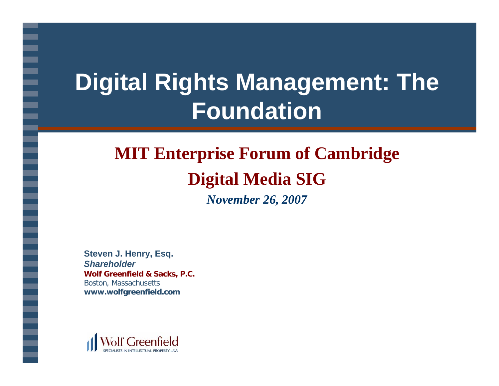# **Digital Rights Management: The Foundation**

## **MIT Enterprise Forum of Cambridge Digital Media SIG**

*November 26, 2007*

**Steven J. Henry, Esq.** *Shareholder***Wolf Greenfield & Sacks, P.C.** Boston, Massachusetts **www.wolfgreenfield.com**

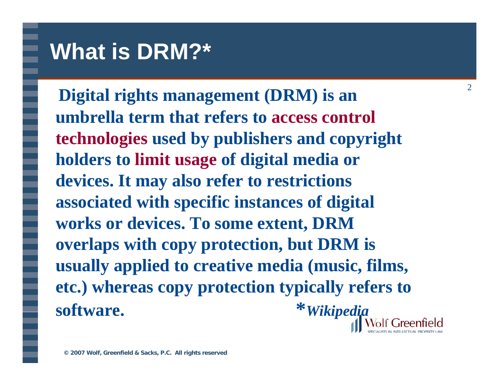#### **What is DRM?\***

**Digital rights management (DRM) is an umbrella term that refers to access control technologies used by publishers and copyright holders to limit usage of digital media or devices. It may also refer to restrictions associated with specific instances of digital works or devices. To some extent, DRM overlaps with copy protection, but DRM is usually applied to creative media (music, films, etc.) whereas copy protection typically refers to software. \****Wikipedia*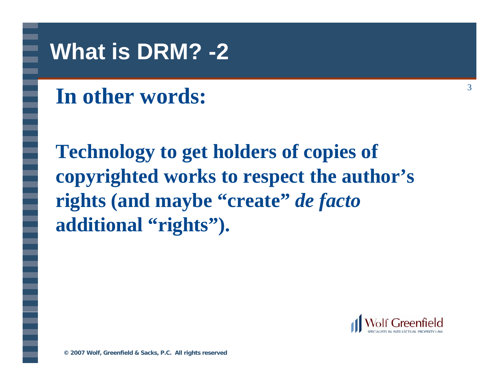#### **What is DRM? -2**

## **In other words:**

**Technology to get holders of copies of copyrighted works to respect the author's rights (and maybe "create"** *de facto* **additional "rights").** 

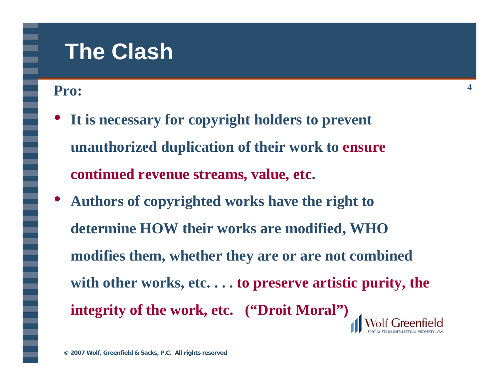#### **The Clash**

#### **Pro:**

- $\bullet$  **It is necessary for copyright holders to prevent unauthorized duplication of their work to ensure**  continued revenue streams, value, etc.
- $\bullet$  **Authors of copyrighted works have the right to determine HOW their works are modified, WHO modifies them, whether they are or are not combined with other works, etc. . . . to preserve artistic purity, the integrity of the work, etc. ("Droit Moral")**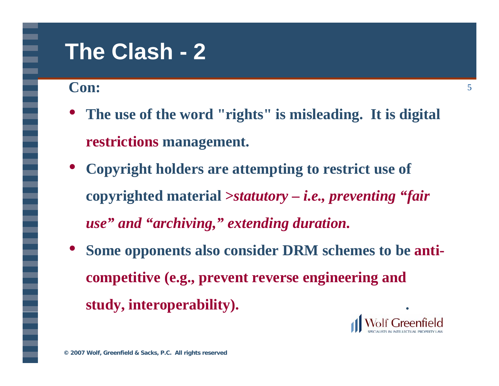#### **The Clash - 2**

**Con:**

- $\bullet$  **The use of the word "rights" is misleading. It is digital restrictions management.[2]**
- **Copyright holders are attempting to restrict use of copyrighted material** *>statutory – i.e., preventing "fair use" and "archiving," extending duration.*
- $\bullet$  **Some opponents also consider DRM schemes to be anticompetitive (e.g., prevent reverse engineering and**  study, interoperability).

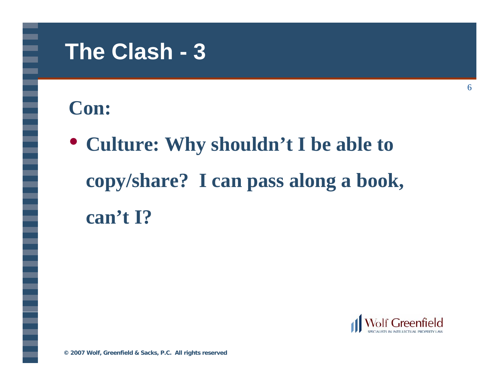#### **The Clash - 3**

#### **Con:**

• **Culture: Why shouldn't I be able to copy/share? I can pass along a book, can't I?**



**© 2007 Wolf, Greenfield & Sacks, P.C. All rights reserved**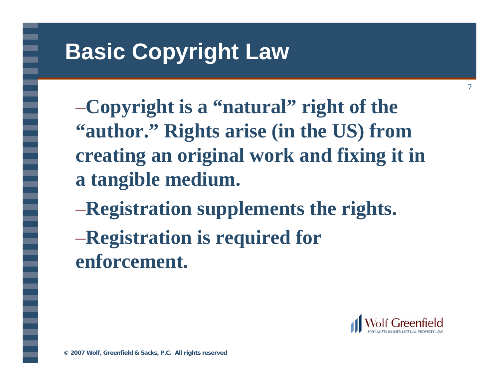## **Basic Copyright Law**

–**Copyright is a "natural" right of the "author." Rights arise (in the US) from creating an original work and fixing it in a tangible medium.**

- –**Registration supplements the rights.**
- –**Registration is required for enforcement.**

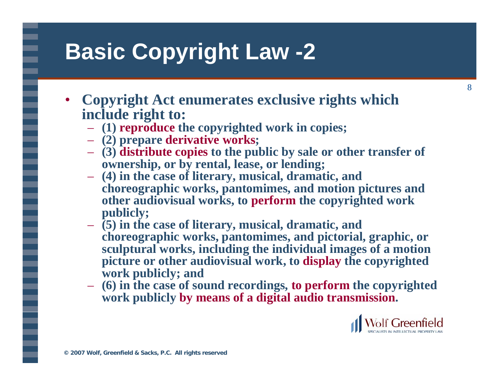#### **Basic Copyright Law -2**

- • **Copyright Act enumerates exclusive rights which include right to:**
	- **(1) reproduce the copyrighted work in copies;**
	- **(2) prepare derivative works;**
	- **(3) distribute copies to the public by sale or other transfer of ownership, or by rental, lease, or lending;**
	- **(4) in the case of literary, musical, dramatic, and choreographic works, pantomimes, and motion pictures and other audiovisual works, to perform the copyrighted work publicly;**
	- **(5) in the case of literary, musical, dramatic, and choreographic works, pantomimes, and pictorial, graphic, or sculptural works, including the individual images of a motion picture or other audiovisual work, to display the copyrighted work publicly; and**
	- **(6) in the case of sound recordings, to perform the copyrighted work publicly by means of a digital audio transmission.**

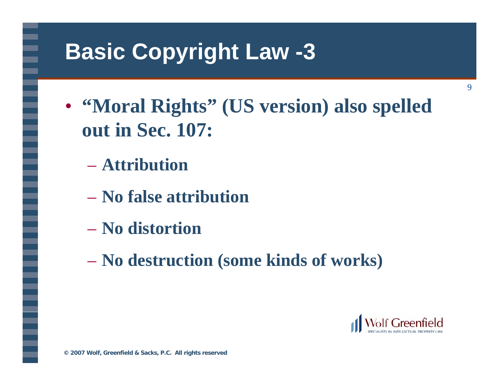#### **Basic Copyright Law -3**

- **"Moral Rights" (US version) also spelled out in Sec. 107:**
	- **Attribution**
	- **No false attribution**
	- **No distortion**
	- **No destruction (some kinds of works)**



9

**© 2007 Wolf, Greenfield & Sacks, P.C. All rights reserved**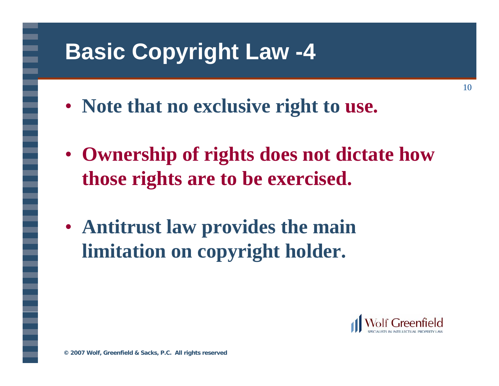## **Basic Copyright Law -4**

- **Note that no exclusive right to use.**
- **Ownership of rights does not dictate how those rights are to be exercised.**
- **Antitrust law provides the main limitation on copyright holder.**

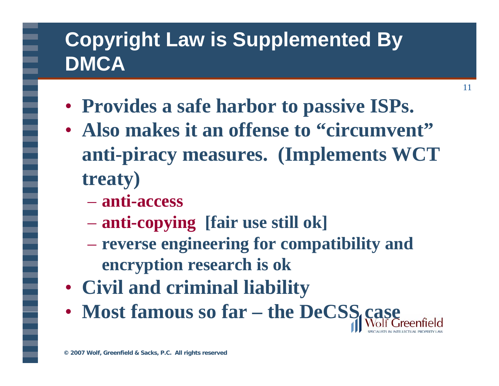#### **Copyright Law is Supplemented By DMCA**

- **Provides a safe harbor to passive ISPs.**
- **Also makes it an offense to "circumvent" anti-piracy measures. (Implements WCT treaty)**

- **anti-access**
- **anti-copying [fair use still ok]**
- **reverse engineering for compatibility and encryption research is ok**
- **Civil and criminal liability**
- **Most famous so far – the DeCSS case**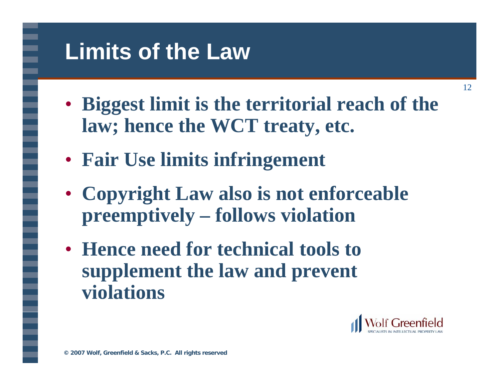#### **Limits of the Law**

- **Biggest limit is the territorial reach of the law; hence the WCT treaty, etc.**
- **Fair Use limits infringement**
- **Copyright Law also is not enforceable preemptively – follows violation**
- **Hence need for technical tools to supplement the law and prevent violations**

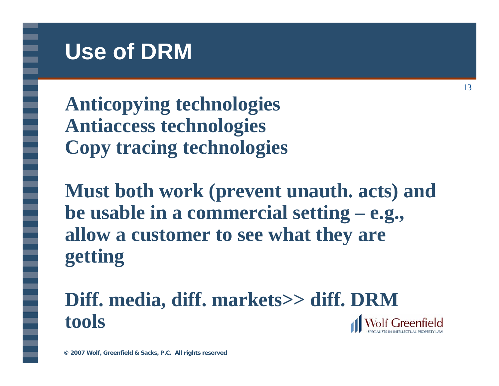#### **Use of DRM**

**Anticopying technologies Antiaccess technologies Copy tracing technologies**

**Must both work (prevent unauth. acts) and be usable in a commercial setting – e.g., allow a customer to see what they are getting**

**Diff. media, diff. markets>> diff. DRM toolsWolf Greenfield**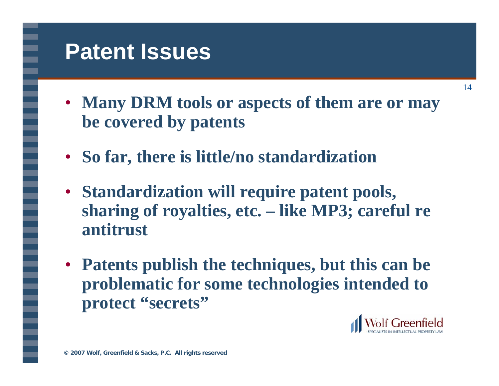#### **Patent Issues**

- **Many DRM tools or aspects of them are or may be covered by patents**
- •**So far, there is little/no standardization**
- **Standardization will require patent pools, sharing of royalties, etc. – like MP3; careful re antitrust**
- **Patents publish the techniques, but this can be problematic for some technologies intended to protect "secrets"**